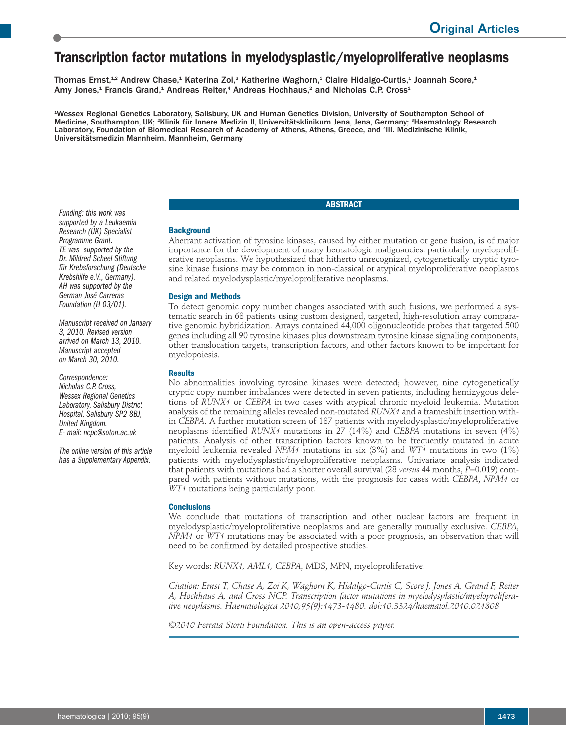# **Transcription factor mutations in myelodysplastic/myeloproliferative neoplasms**

Thomas Ernst,<sup>1,2</sup> Andrew Chase,<sup>1</sup> Katerina Zoi,<sup>3</sup> Katherine Waghorn,<sup>1</sup> Claire Hidalgo-Curtis,<sup>1</sup> Joannah Score,<sup>1</sup> Amy Jones,<sup>1</sup> Francis Grand,<sup>1</sup> Andreas Reiter,<sup>4</sup> Andreas Hochhaus,<sup>2</sup> and Nicholas C.P. Cross<sup>1</sup>

1 Wessex Regional Genetics Laboratory, Salisbury, UK and Human Genetics Division, University of Southampton School of Medicine, Southampton, UK; <sup>2</sup>Klinik für Innere Medizin II, Universitätsklinikum Jena, Jena, Germany; <sup>3</sup>Haematology Research Laboratory, Foundation of Biomedical Research of Academy of Athens, Athens, Greece, and <sup>4</sup> III. Medizinische Klinik, Universitätsmedizin Mannheim, Mannheim, Germany

## **ABSTRACT**

#### *Funding: this work was supported by a Leukaemia Research (UK) Specialist Programme Grant. TE was supported by the Dr. Mildred Scheel Stiftung für Krebsforschung (Deutsche Krebshilfe e.V., Germany). AH was supported by the German José Carreras Foundation (H 03/01).*

*Manuscript received on January 3, 2010. Revised version arrived on March 13, 2010. Manuscript accepted on March 30, 2010.*

*Correspondence: Nicholas C.P. Cross, Wessex Regional Genetics Laboratory, Salisbury District Hospital, Salisbury SP2 8BJ, United Kingdom. E- mail: ncpc@soton.ac.uk*

*The online version of this article has a Supplementary Appendix.*

Aberrant activation of tyrosine kinases, caused by either mutation or gene fusion, is of major importance for the development of many hematologic malignancies, particularly myeloproliferative neoplasms. We hypothesized that hitherto unrecognized, cytogenetically cryptic tyrosine kinase fusions may be common in non-classical or atypical myeloproliferative neoplasms and related myelodysplastic/myeloproliferative neoplasms.

## **Design and Methods**

**Background**

To detect genomic copy number changes associated with such fusions, we performed a systematic search in 68 patients using custom designed, targeted, high-resolution array comparative genomic hybridization. Arrays contained 44,000 oligonucleotide probes that targeted 500 genes including all 90 tyrosine kinases plus downstream tyrosine kinase signaling components, other translocation targets, transcription factors, and other factors known to be important for myelopoiesis.

### **Results**

No abnormalities involving tyrosine kinases were detected; however, nine cytogenetically cryptic copy number imbalances were detected in seven patients, including hemizygous deletions of *RUNX1* or *CEBPA* in two cases with atypical chronic myeloid leukemia. Mutation analysis of the remaining alleles revealed non-mutated *RUNX1* and a frameshift insertion within *CEBPA*. A further mutation screen of 187 patients with myelodysplastic/myeloproliferative neoplasms identified *RUNX1* mutations in 27 (14%) and *CEBPA* mutations in seven (4%) patients. Analysis of other transcription factors known to be frequently mutated in acute myeloid leukemia revealed *NPM1* mutations in six (3%) and *WT1* mutations in two (1%) patients with myelodysplastic/myeloproliferative neoplasms. Univariate analysis indicated that patients with mutations had a shorter overall survival (28 *versus* 44 months, *P*=0.019) compared with patients without mutations, with the prognosis for cases with *CEBPA*, *NPM1* or *WT1* mutations being particularly poor.

## **Conclusions**

We conclude that mutations of transcription and other nuclear factors are frequent in myelodysplastic/myeloproliferative neoplasms and are generally mutually exclusive. *CEBPA*, *NPM1* or *WT1* mutations may be associated with a poor prognosis, an observation that will need to be confirmed by detailed prospective studies.

Key words: *RUNX1, AML1, CEBPA*, MDS, MPN, myeloproliferative.

*Citation: Ernst T, Chase A, Zoi K, Waghorn K, Hidalgo-Curtis C, Score J, Jones A, Grand F, Reiter A, Hochhaus A, and Cross NCP. Transcription factor mutations in myelodysplastic/myeloproliferative neoplasms. Haematologica 2010;95(9):1473-1480. doi:10.3324/haematol.2010.021808*

*©2010 Ferrata Storti Foundation. This is an open-access paper.*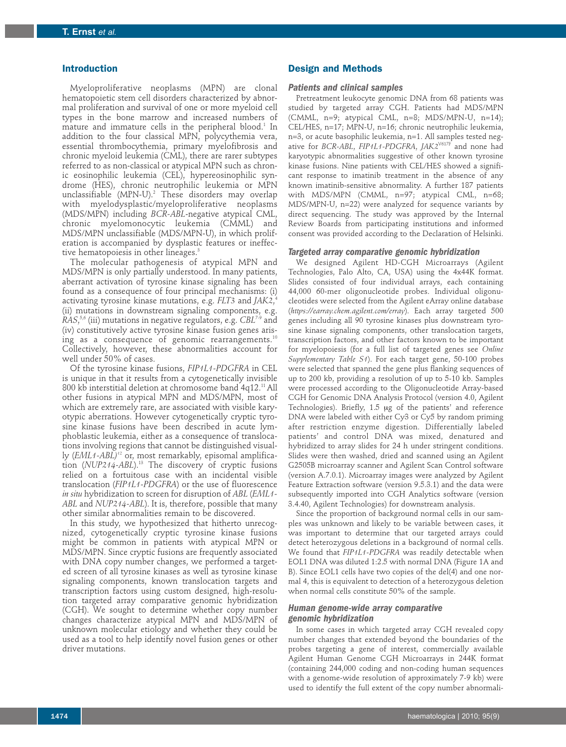### **Introduction**

Myeloproliferative neoplasms (MPN) are clonal hematopoietic stem cell disorders characterized by abnormal proliferation and survival of one or more myeloid cell types in the bone marrow and increased numbers of mature and immature cells in the peripheral blood. <sup>1</sup> In addition to the four classical MPN, polycythemia vera, essential thrombocythemia, primary myelofibrosis and chronic myeloid leukemia (CML), there are rarer subtypes referred to as non-classical or atypical MPN such as chronic eosinophilic leukemia (CEL), hypereosinophilic syndrome (HES), chronic neutrophilic leukemia or MPN unclassifiable (MPN-U). <sup>2</sup> These disorders may overlap with myelodysplastic/myeloproliferative neoplasms (MDS/MPN) including *BCR-ABL*-negative atypical CML, chronic myelomonocytic leukemia (CMML) and MDS/MPN unclassifiable (MDS/MPN-U), in which proliferation is accompanied by dysplastic features or ineffective hematopoiesis in other lineages. 3

The molecular pathogenesis of atypical MPN and MDS/MPN is only partially understood. In many patients, aberrant activation of tyrosine kinase signaling has been found as a consequence of four principal mechanisms: (i) activating tyrosine kinase mutations, e.g. *FLT3* and *JAK2*, 4 (ii) mutations in downstream signaling components, e.g. *RAS*, 5,6 (iii) mutations in negative regulators, e.g. *CBL*7-9 and (iv) constitutively active tyrosine kinase fusion genes arising as a consequence of genomic rearrangements. $^{\rm 10}$ Collectively, however, these abnormalities account for well under 50% of cases.

Of the tyrosine kinase fusions, *FIP1L1-PDGFRA* in CEL is unique in that it results from a cytogenetically invisible 800 kb interstitial deletion at chromosome band 4q12. 11All other fusions in atypical MPN and MDS/MPN, most of which are extremely rare, are associated with visible karyotypic aberrations. However cytogenetically cryptic tyrosine kinase fusions have been described in acute lymphoblastic leukemia, either as a consequence of translocations involving regions that cannot be distinguished visually (*EML1-ABL)'<sup>2</sup>* or, most remarkably, episomal amplification (*NUP214-ABL*). <sup>13</sup> The discovery of cryptic fusions relied on a fortuitous case with an incidental visible translocation (*FIP1L1-PDGFRA*) or the use of fluorescence *in situ* hybridization to screen for disruption of *ABL* (*EML1- ABL* and *NUP214-ABL*). It is, therefore, possible that many other similar abnormalities remain to be discovered.

In this study, we hypothesized that hitherto unrecognized, cytogenetically cryptic tyrosine kinase fusions might be common in patients with atypical MPN or MDS/MPN. Since cryptic fusions are frequently associated with DNA copy number changes, we performed a targeted screen of all tyrosine kinases as well as tyrosine kinase signaling components, known translocation targets and transcription factors using custom designed, high-resolution targeted array comparative genomic hybridization (CGH). We sought to determine whether copy number changes characterize atypical MPN and MDS/MPN of unknown molecular etiology and whether they could be used as a tool to help identify novel fusion genes or other driver mutations.

#### **Design and Methods**

#### *Patients and clinical samples*

Pretreatment leukocyte genomic DNA from 68 patients was studied by targeted array CGH. Patients had MDS/MPN (CMML, n=9; atypical CML, n=8; MDS/MPN-U, n=14); CEL/HES, n=17; MPN-U, n=16; chronic neutrophilic leukemia, n=3, or acute basophilic leukemia, n=1. All samples tested negative for *BCR-ABL*, *FIP1L1-PDGFRA*, *JAK2*V617F and none had karyotypic abnormalities suggestive of other known tyrosine kinase fusions. Nine patients with CEL/HES showed a significant response to imatinib treatment in the absence of any known imatinib-sensitive abnormality. A further 187 patients with MDS/MPN (CMML, n=97; atypical CML, n=68; MDS/MPN-U, n=22) were analyzed for sequence variants by direct sequencing. The study was approved by the Internal Review Boards from participating institutions and informed consent was provided according to the Declaration of Helsinki.

#### *Targeted array comparative genomic hybridization*

We designed Agilent HD-CGH Microarrays (Agilent Technologies, Palo Alto, CA, USA) using the 4x44K format. Slides consisted of four individual arrays, each containing 44,000 60-mer oligonucleotide probes. Individual oligonucleotides were selected from the Agilent eArray online database (*https://earray.chem.agilent.com/erray*). Each array targeted 500 genes including all 90 tyrosine kinases plus downstream tyrosine kinase signaling components, other translocation targets, transcription factors, and other factors known to be important for myelopoiesis (for a full list of targeted genes see *Online Supplementary Table S1*). For each target gene, 50-100 probes were selected that spanned the gene plus flanking sequences of up to 200 kb, providing a resolution of up to 5-10 kb. Samples were processed according to the Oligonucleotide Array-based CGH for Genomic DNA Analysis Protocol (version 4.0, Agilent Technologies). Briefly, 1.5 µg of the patients' and reference DNA were labeled with either Cy3 or Cy5 by random priming after restriction enzyme digestion. Differentially labeled patients' and control DNA was mixed, denatured and hybridized to array slides for 24 h under stringent conditions. Slides were then washed, dried and scanned using an Agilent G2505B microarray scanner and Agilent Scan Control software (version A.7.0.1). Microarray images were analyzed by Agilent Feature Extraction software (version 9.5.3.1) and the data were subsequently imported into CGH Analytics software (version 3.4.40, Agilent Technologies) for downstream analysis.

Since the proportion of background normal cells in our samples was unknown and likely to be variable between cases, it was important to determine that our targeted arrays could detect heterozygous deletions in a background of normal cells. We found that *FIP1L1-PDGFRA* was readily detectable when EOL1 DNA was diluted 1:2.5 with normal DNA (Figure 1A and B). Since EOL1 cells have two copies of the del(4) and one normal 4, this is equivalent to detection of a heterozygous deletion when normal cells constitute 50% of the sample.

## *Human genome-wide array comparative genomic hybridization*

In some cases in which targeted array CGH revealed copy number changes that extended beyond the boundaries of the probes targeting a gene of interest, commercially available Agilent Human Genome CGH Microarrays in 244K format (containing 244,000 coding and non-coding human sequences with a genome-wide resolution of approximately 7-9 kb) were used to identify the full extent of the copy number abnormali-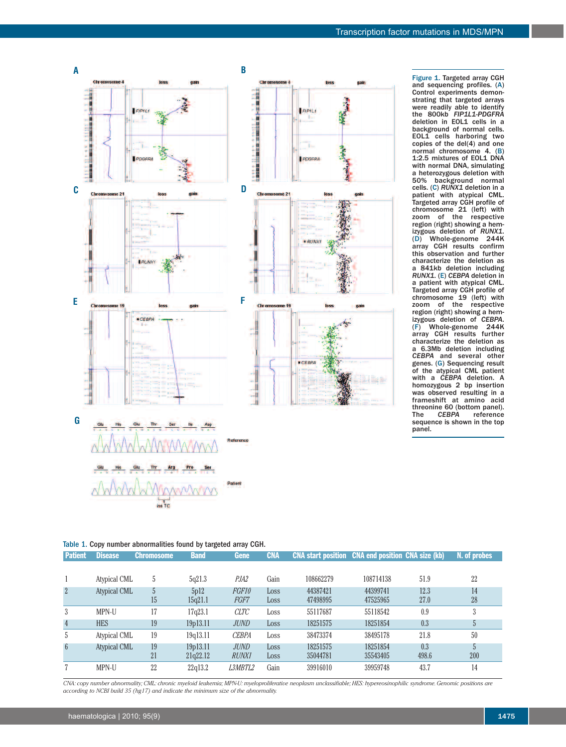

Figure 1. Targeted array CGH and sequencing profiles. (A) Control experiments demonstrating that targeted arrays were readily able to identify the 800kb *FIP1L1-PDGFRA* deletion in EOL1 cells in a background of normal cells. EOL1 cells harboring two copies of the del(4) and one normal chromosome 4. (B) 1:2.5 mixtures of EOL1 DNA with normal DNA, simulating a heterozygous deletion with 50% background normal cells. (C) *RUNX1* deletion in a patient with atypical CML. Targeted array CGH profile of chromosome 21 (left) with zoom of the respective region (right) showing a hemizygous deletion of *RUNX1*. (D) Whole-genome 244K array CGH results confirm this observation and further characterize the deletion as a 841kb deletion including *RUNX1*. (E) *CEBPA* deletion in a patient with atypical CML. Targeted array CGH profile of chromosome 19 (left) with zoom of the respective region (right) showing a hemizygous deletion of *CEBPA*. (F) Whole-genome 244K array CGH results further characterize the deletion as a 6.3Mb deletion including *CEBPA* and several other genes. (G) Sequencing result of the atypical CML patient with a *CEBPA* deletion. A homozygous 2 bp insertion was observed resulting in a frameshift at amino acid threonine 60 (bottom panel).<br>The CEBPA reference reference sequence is shown in the top panel.

|  |  |  |  | Table 1. Copy number abnormalities found by targeted array CGH. |  |  |  |  |  |
|--|--|--|--|-----------------------------------------------------------------|--|--|--|--|--|
|--|--|--|--|-----------------------------------------------------------------|--|--|--|--|--|

| <b>Patient</b>  | Disease             | <b>Chromosome</b> | <b>Band</b> | <b>Gene</b>    | <b>CNA</b> | <b>CNA start position</b> CNA end position CNA size (kb) |           |       | N. of probes   |
|-----------------|---------------------|-------------------|-------------|----------------|------------|----------------------------------------------------------|-----------|-------|----------------|
|                 |                     |                   |             |                |            |                                                          |           |       |                |
|                 | Atypical CML        | 5                 | 5q21.3      | PJA2           | Gain       | 108662279                                                | 108714138 | 51.9  | 22             |
| $\overline{2}$  | <b>Atypical CML</b> | $\mathbf{h}$      | 5p12        | FGF10          | Loss       | 44387421                                                 | 44399741  | 12.3  | 14             |
|                 |                     | 15                | 15q21.1     | FGF7           | Loss       | 47498995                                                 | 47525965  | 27.0  | 28             |
| 3               | MPN-U               | 17                | 17q23.1     | <b>CLTC</b>    | Loss       | 55117687                                                 | 55118542  | 0.9   | 3              |
| $\overline{4}$  | <b>HES</b>          | 19                | 19p13.11    | <b>JUND</b>    | Loss       | 18251575                                                 | 18251854  | 0.3   | $\mathfrak{b}$ |
| 5               | Atypical CML        | 19                | 19q13.11    | <b>CEBPA</b>   | Loss       | 38473374                                                 | 38495178  | 21.8  | 50             |
| $6\phantom{.}6$ | Atypical CML        | 19                | 19p13.11    | <b>JUND</b>    | Loss       | 18251575                                                 | 18251854  | 0.3   |                |
|                 |                     | 21                | 21q22.12    | <b>RUNX1</b>   | Loss       | 35044781                                                 | 35543405  | 498.6 | 200            |
|                 | MPN-U               | 22                | 22q13.2     | <i>L3MBTL2</i> | Gain       | 39916010                                                 | 39959748  | 43.7  | 14             |

CNA: copy number abnormality; CML: chronic myeloid leukemia; MPN-U: myeloproliferative neoplasm unclassifiable; HES: hypereosinophilic syndrome. Genomic positions are *according to NCBI build 35 (hg17) and indicate the minimum size of the abnormality.*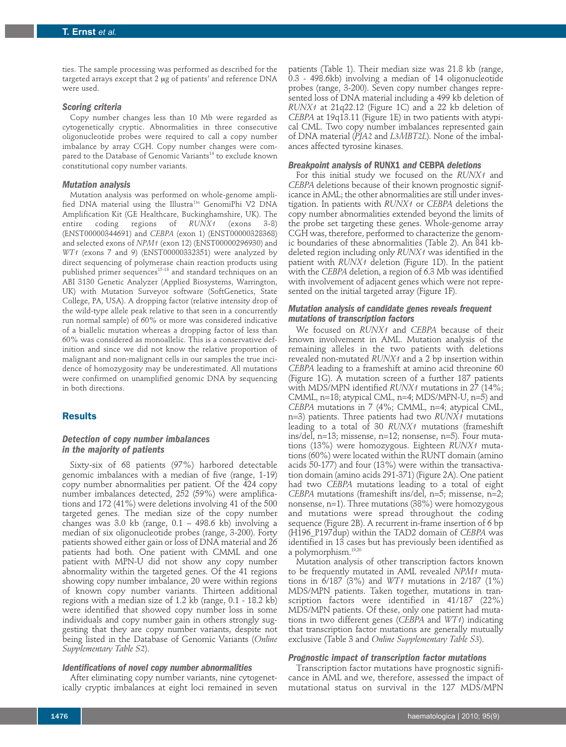ties. The sample processing was performed as described for the targeted arrays except that 2 µg of patients' and reference DNA were used.

### *Scoring criteria*

Copy number changes less than 10 Mb were regarded as cytogenetically cryptic. Abnormalities in three consecutive oligonucleotide probes were required to call a copy number imbalance by array CGH. Copy number changes were compared to the Database of Genomic Variants <sup>14</sup> to exclude known constitutional copy number variants.

#### *Mutation analysis*

Mutation analysis was performed on whole-genome amplified DNA material using the Illustra™ GenomiPhi V2 DNA Amplification Kit (GE Healthcare, Buckinghamshire, UK). The entire coding regions of *RUNX1* (exons 3-8) (ENST00000344691) and *CEBPA* (exon 1) (ENST00000328368) and selected exons of *NPM1* (exon 12) (ENST00000296930) and *WT1* (exons 7 and 9) (ENST00000332351) were analyzed by direct sequencing of polymerase chain reaction products using published primer sequences $^{\scriptscriptstyle 15\text{-}18}$  and standard techniques on an ABI 3130 Genetic Analyzer (Applied Biosystems, Warrington, UK) with Mutation Surveyor software (SoftGenetics, State College, PA, USA). A dropping factor (relative intensity drop of the wild-type allele peak relative to that seen in a concurrently run normal sample) of 60% or more was considered indicative of a biallelic mutation whereas a dropping factor of less than 60% was considered as monoallelic. This is a conservative definition and since we did not know the relative proportion of malignant and non-malignant cells in our samples the true incidence of homozygosity may be underestimated. All mutations were confirmed on unamplified genomic DNA by sequencing in both directions.

## **Results**

## *Detection of copy number imbalances in the majority of patients*

Sixty-six of 68 patients (97%) harbored detectable genomic imbalances with a median of five (range, 1-19) copy number abnormalities per patient. Of the 424 copy number imbalances detected, 252 (59%) were amplifications and 172 (41%) were deletions involving 41 of the 500 targeted genes. The median size of the copy number changes was 3.0 kb (range, 0.1 – 498.6 kb) involving a median of six oligonucleotide probes (range, 3-200). Forty patients showed either gain or loss of DNA material and 26 patients had both. One patient with CMML and one patient with MPN-U did not show any copy number abnormality within the targeted genes. Of the 41 regions showing copy number imbalance, 20 were within regions of known copy number variants. Thirteen additional regions with a median size of 1.2 kb (range, 0.1 - 18.2 kb) were identified that showed copy number loss in some individuals and copy number gain in others strongly suggesting that they are copy number variants, despite not being listed in the Database of Genomic Variants (*Online Supplementary Table S2*).

#### *Identifications of novel copy number abnormalities*

After eliminating copy number variants, nine cytogenetically cryptic imbalances at eight loci remained in seven

patients (Table 1). Their median size was 21.8 kb (range, 0.3 - 498.6kb) involving a median of 14 oligonucleotide probes (range, 3-200). Seven copy number changes represented loss of DNA material including a 499 kb deletion of *RUNX1* at 21q22.12 (Figure 1C) and a 22 kb deletion of *CEBPA* at 19q13.11 (Figure 1E) in two patients with atypical CML. Two copy number imbalances represented gain of DNA material (*PJA2* and *L3MBT2L*). None of the imbalances affected tyrosine kinases.

#### *Breakpoint analysis of* **RUNX1** *and* **CEBPA** *deletions*

For this initial study we focused on the *RUNX1* and *CEBPA* deletions because of their known prognostic significance in AML; the other abnormalities are still under investigation. In patients with *RUNX1* or *CEBPA* deletions the copy number abnormalities extended beyond the limits of the probe set targeting these genes. Whole-genome array CGH was, therefore, performed to characterize the genomic boundaries of these abnormalities (Table 2). An 841 kbdeleted region including only *RUNX1* was identified in the patient with *RUNX1* deletion (Figure 1D). In the patient with the *CEBPA* deletion, a region of 6.3 Mb was identified with involvement of adjacent genes which were not represented on the initial targeted array (Figure 1F).

### *Mutation analysis of candidate genes reveals frequent mutations of transcription factors*

We focused on *RUNX1* and *CEBPA* because of their known involvement in AML. Mutation analysis of the remaining alleles in the two patients with deletions revealed non-mutated *RUNX1* and a 2 bp insertion within *CEBPA* leading to a frameshift at amino acid threonine 60 (Figure 1G). A mutation screen of a further 187 patients with MDS/MPN identified *RUNX1* mutations in 27 (14%; CMML, n=18; atypical CML, n=4; MDS/MPN-U, n=5) and *CEBPA* mutations in 7 (4%; CMML, n=4; atypical CML, n=3) patients. Three patients had two *RUNX1* mutations leading to a total of 30 *RUNX1* mutations (frameshift ins/del, n=13; missense, n=12; nonsense, n=5). Four mutations (13%) were homozygous. Eighteen *RUNX1* mutations (60%) were located within the RUNT domain (amino acids 50-177) and four (13%) were within the transactivation domain (amino acids 291-371) (Figure 2A). One patient had two *CEBPA* mutations leading to a total of eight *CEBPA* mutations (frameshift ins/del, n=5; missense, n=2; nonsense, n=1). Three mutations (38%) were homozygous and mutations were spread throughout the coding sequence (Figure 2B). A recurrent in-frame insertion of 6 bp (H196\_P197dup) within the TAD2 domain of *CEBPA* was identified in 13 cases but has previously been identified as a polymorphism. 19,20

Mutation analysis of other transcription factors known to be frequently mutated in AML revealed *NPM1* mutations in 6/187 (3%) and *WT1* mutations in 2/187 (1%) MDS/MPN patients. Taken together, mutations in transcription factors were identified in 41/187 (22%) MDS/MPN patients. Of these, only one patient had mutations in two different genes (*CEBPA* and *WT1*) indicating that transcription factor mutations are generally mutually exclusive (Table 3 and *Online Supplementary Table S3*).

#### *Prognostic impact of transcription factor mutations*

Transcription factor mutations have prognostic significance in AML and we, therefore, assessed the impact of mutational status on survival in the 127 MDS/MPN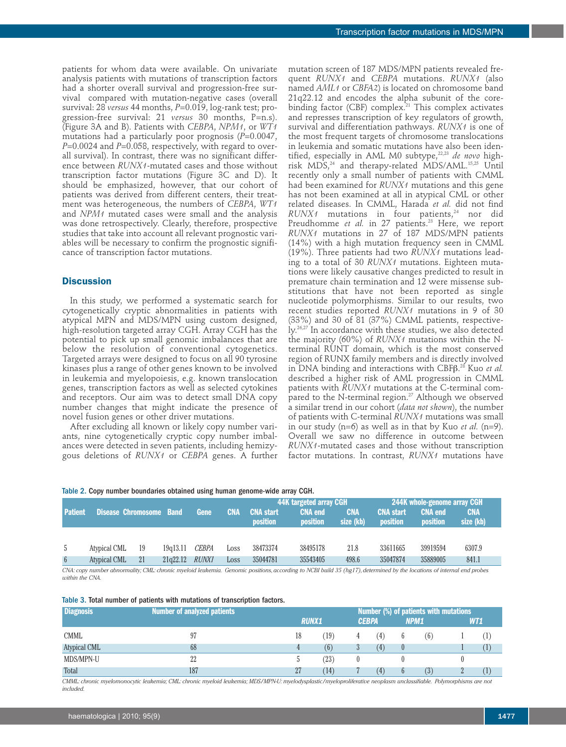patients for whom data were available. On univariate analysis patients with mutations of transcription factors had a shorter overall survival and progression-free survival compared with mutation-negative cases (overall survival: 28 *versus* 44 months, *P*=0.019, log-rank test; progression-free survival: 21 *versus* 30 months, P=n.s). (Figure 3A and B). Patients with *CEBPA*, *NPM1*, or *WT1* mutations had a particularly poor prognosis (*P*=0.0047, *P*=0.0024 and *P*=0.058, respectively, with regard to overall survival). In contrast, there was no significant difference between *RUNX1*-mutated cases and those without transcription factor mutations (Figure 3C and D). It should be emphasized, however, that our cohort of patients was derived from different centers, their treatment was heterogeneous, the numbers of *CEBPA*, *WT1* and *NPM1* mutated cases were small and the analysis was done retrospectively. Clearly, therefore, prospective studies that take into account all relevant prognostic variables will be necessary to confirm the prognostic significance of transcription factor mutations.

## **Discussion**

In this study, we performed a systematic search for cytogenetically cryptic abnormalities in patients with atypical MPN and MDS/MPN using custom designed, high-resolution targeted array CGH. Array CGH has the potential to pick up small genomic imbalances that are below the resolution of conventional cytogenetics. Targeted arrays were designed to focus on all 90 tyrosine kinases plus a range of other genes known to be involved in leukemia and myelopoiesis, e.g. known translocation genes, transcription factors as well as selected cytokines and receptors. Our aim was to detect small DNA copy number changes that might indicate the presence of novel fusion genes or other driver mutations.

After excluding all known or likely copy number variants, nine cytogenetically cryptic copy number imbalances were detected in seven patients, including hemizygous deletions of *RUNX1* or *CEBPA* genes. A further mutation screen of 187 MDS/MPN patients revealed frequent *RUNX1* and *CEBPA* mutations. *RUNX1* (also named *AML1* or *CBFA2*) is located on chromosome band 21q22.12 and encodes the alpha subunit of the corebinding factor (CBF) complex. <sup>21</sup> This complex activates and represses transcription of key regulators of growth, survival and differentiation pathways. *RUNX1* is one of the most frequent targets of chromosome translocations in leukemia and somatic mutations have also been identified, especially in AML M0 subtype, 22,23 *de novo* highrisk MDS, <sup>24</sup> and therapy-related MDS/AML. 15,25 Until recently only a small number of patients with CMML had been examined for *RUNX1* mutations and this gene has not been examined at all in atypical CML or other related diseases. In CMML, Harada *et al.* did not find *RUNX1* mutations in four patients, <sup>24</sup> nor did Preudhomme *et al.* in 27 patients. <sup>23</sup> Here, we report *RUNX1* mutations in 27 of 187 MDS/MPN patients (14%) with a high mutation frequency seen in CMML (19%). Three patients had two *RUNX1* mutations leading to a total of 30 *RUNX1* mutations. Eighteen mutations were likely causative changes predicted to result in premature chain termination and 12 were missense substitutions that have not been reported as single nucleotide polymorphisms. Similar to our results, two recent studies reported *RUNX1* mutations in 9 of 30 (33%) and 30 of 81 (37%) CMML patients, respectively. 26,27 In accordance with these studies, we also detected the majority (60%) of *RUNX1* mutations within the Nterminal RUNT domain, which is the most conserved region of RUNX family members and is directly involved in DNA binding and interactions with CBFb. <sup>28</sup> Kuo *et al.* described a higher risk of AML progression in CMML patients with *RUNX1* mutations at the C-terminal compared to the N-terminal region. <sup>27</sup> Although we observed a similar trend in our cohort (*data not shown*), the number of patients with C-terminal *RUNX1* mutations was small in our study (n=6) as well as in that by Kuo *et al.* (n=9). Overall we saw no difference in outcome between *RUNX1*-mutated cases and those without transcription factor mutations. In contrast, *RUNX1* mutations have

|  |  |  | Table 2. Copy number boundaries obtained using human genome-wide array CGH. |  |
|--|--|--|-----------------------------------------------------------------------------|--|
|  |  |  |                                                                             |  |

|                 |                                |    |          |              |            |                                     | 44K targeted array CGH                                                                                                                                                |                         | <b>244K whole-genome array CGH</b>  |                            |                         |  |
|-----------------|--------------------------------|----|----------|--------------|------------|-------------------------------------|-----------------------------------------------------------------------------------------------------------------------------------------------------------------------|-------------------------|-------------------------------------|----------------------------|-------------------------|--|
| <b>Patient</b>  | <b>Disease Chromosome Band</b> |    |          | Gene         | <b>CNA</b> | <b>CNA start</b><br><b>position</b> | <b>CNA end</b><br>position                                                                                                                                            | <b>CNA</b><br>size (kb) | <b>CNA</b> start<br><b>position</b> | <b>CNA end</b><br>position | <b>CNA</b><br>size (kb) |  |
|                 |                                |    |          |              |            |                                     |                                                                                                                                                                       |                         |                                     |                            |                         |  |
| -5              | Atypical CML                   | 19 | 19q13.11 | <i>CEBPA</i> | Loss       | 38473374                            | 38495178                                                                                                                                                              | 21.8                    | 33611665                            | 39919594                   | 6307.9                  |  |
| $6\overline{6}$ | Atypical CML                   | 21 | 21q22.12 | <i>RUNX1</i> | Loss       | 35044781                            | 35543405                                                                                                                                                              | 498.6                   | 35047874                            | 35889005                   | 841.1                   |  |
|                 |                                |    |          |              |            |                                     | CNA: conv number abnormality: CML: chronic myeloid leukemia. Genomic positions, according to NCBI build 35 (hg17), determined by the locations of internal end probes |                         |                                     |                            |                         |  |

CNA: copy number abnormality; CML: chronic myeloid leukemia. Genomic positions,according to NCBI build 35 (hg17), determined by the locations of internal end probes *within the CNA.*

|  |  |  |  |  |  |  |  |  | Table 3. Total number of patients with mutations of transcription factors. |  |
|--|--|--|--|--|--|--|--|--|----------------------------------------------------------------------------|--|
|--|--|--|--|--|--|--|--|--|----------------------------------------------------------------------------|--|

| <b>Diagnosis</b>    | <b>Number of analyzed patients b</b> |    |              | Number (%) of patients with mutations |              |      |     |            |     |  |  |  |
|---------------------|--------------------------------------|----|--------------|---------------------------------------|--------------|------|-----|------------|-----|--|--|--|
|                     |                                      |    | <b>RUNX1</b> |                                       | <b>CEBPA</b> | NPM1 |     | <b>WT1</b> |     |  |  |  |
| CMML                | 97                                   | 18 | (19)         | 4                                     | (4)          | 6    | (6) |            | (1) |  |  |  |
| <b>Atypical CML</b> | 68                                   |    | (6)          | 3                                     | (4)          |      |     |            | Œ   |  |  |  |
| MDS/MPN-U           | 22                                   |    | (23)         | 0                                     |              |      |     |            |     |  |  |  |
| Total               | 187                                  | 27 | (14)         |                                       | (4)          | 6    | (3) |            | Œ   |  |  |  |

CMML: chronic myelomonocytic leukemia; CML: chronic myeloid leukemia; MDS/MPN-U: myelodysplastic/myeloproliferative neoplasm unclassifiable. Polymorphisms are not *included.*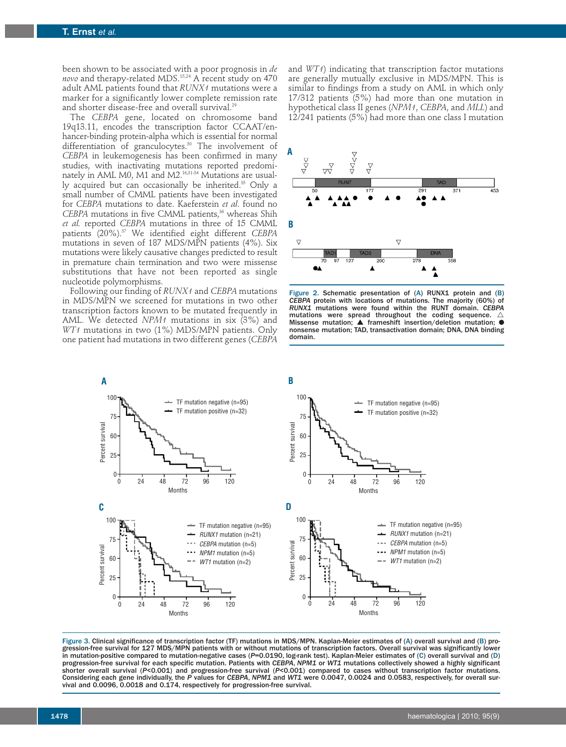been shown to be associated with a poor prognosis in *de novo* and therapy-related MDS. 15,24 A recent study on 470 adult AML patients found that *RUNX1* mutations were a marker for a significantly lower complete remission rate and shorter disease-free and overall survival. 29

The *CEBPA* gene, located on chromosome band 19q13.11, encodes the transcription factor CCAAT/enhancer-binding protein-alpha which is essential for normal differentiation of granculocytes. <sup>30</sup> The involvement of *CEBPA* in leukemogenesis has been confirmed in many studies, with inactivating mutations reported predominately in AML M0, M1 and M2. 16,31-34 Mutations are usually acquired but can occasionally be inherited. <sup>35</sup> Only a small number of CMML patients have been investigated for *CEBPA* mutations to date. Kaeferstein *et al*. found no *CEBPA* mutations in five CMML patients, <sup>36</sup> whereas Shih *et al.* reported *CEBPA* mutations in three of 15 CMML patients (20%). <sup>37</sup> We identified eight different *CEBPA* mutations in seven of 187 MDS/MPN patients (4%). Six mutations were likely causative changes predicted to result in premature chain termination and two were missense substitutions that have not been reported as single nucleotide polymorphisms.

Following our finding of *RUNX1* and *CEBPA* mutations in MDS/MPN we screened for mutations in two other transcription factors known to be mutated frequently in AML. We detected *NPM1* mutations in six (3%) and *WT1* mutations in two (1%) MDS/MPN patients. Only one patient had mutations in two different genes (*CEBPA*

and *WT1*) indicating that transcription factor mutations are generally mutually exclusive in MDS/MPN. This is similar to findings from a study on AML in which only 17/312 patients (5%) had more than one mutation in hypothetical class II genes (*NPM1*, *CEBPA*, and *MLL*) and  $12/241$  patients  $(5\%)$  had more than one class I mutation



Figure 2. Schematic presentation of (A) RUNX1 protein and (B) *CEBPA* protein with locations of mutations. The majority (60%) of *RUNX1* mutations were found within the RUNT domain. *CEBPA* mutations were spread throughout the coding sequence.  $\angle$ Missense mutation;  $\blacktriangle$  frameshift insertion/deletion mutation; nonsense mutation; TAD, transactivation domain; DNA, DNA binding domain.



Figure 3. Clinical significance of transcription factor (TF) mutations in MDS/MPN. Kaplan-Meier estimates of (A) overall survival and (B) progression-free survival for 127 MDS/MPN patients with or without mutations of transcription factors. Overall survival was significantly lower in mutation-positive compared to mutation-negative cases (*P*=0.0190, log-rank test). Kaplan-Meier estimates of (C) overall survival and (D) progression-free survival for each specific mutation. Patients with *CEBPA*, *NPM1* or *WT1* mutations collectively showed a highly significant shorter overall survival (*P*<0.001) and progression-free survival (*P*<0.001) compared to cases without transcription factor mutations. Considering each gene individually, the P values for CEBPA, NPM1 and WT1 were 0.0047, 0.0024 and 0.0583, respectively, for overall sur-<br>vival and 0.0096, 0.0018 and 0.174, respectively for progression-free survival.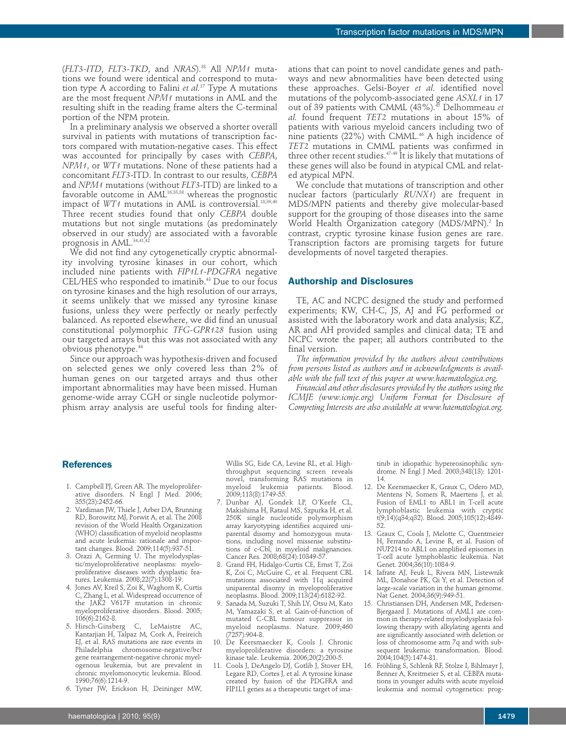(*FLT3-ITD*, *FLT3-TKD*, and *NRAS*). <sup>38</sup> All *NPM1* mutations we found were identical and correspond to mutation type A according to Falini *et al.* <sup>17</sup> Type A mutations are the most frequent *NPM1* mutations in AML and the resulting shift in the reading frame alters the C-terminal portion of the NPM protein.

In a preliminary analysis we observed a shorter overall survival in patients with mutations of transcription factors compared with mutation-negative cases. This effect was accounted for principally by cases with *CEBPA*, *NPM1*, or *WT1* mutations. None of these patients had a concomitant *FLT3*-ITD. In contrast to our results, *CEBPA* and *NPM1* mutations (without *FLT3*-ITD) are linked to a favorable outcome in AML16,33,38 whereas the prognostic impact of *WT1* mutations in AML is controversial. 18,39,40 Three recent studies found that only *CEBPA* double mutations but not single mutations (as predominately observed in our study) are associated with a favorable prognosis in AML. 34,41,42

We did not find any cytogenetically cryptic abnormality involving tyrosine kinases in our cohort, which included nine patients with *FIP1L1-PDGFRA* negative CEL/HES who responded to imatinib. <sup>43</sup> Due to our focus on tyrosine kinases and the high resolution of our arrays, it seems unlikely that we missed any tyrosine kinase fusions, unless they were perfectly or nearly perfectly balanced. As reported elsewhere, we did find an unusual constitutional polymorphic *TFG-GPR128* fusion using our targeted arrays but this was not associated with any obvious phenotype. 44

Since our approach was hypothesis-driven and focused on selected genes we only covered less than 2% of human genes on our targeted arrays and thus other important abnormalities may have been missed. Human genome-wide array CGH or single nucleotide polymorphism array analysis are useful tools for finding alterations that can point to novel candidate genes and pathways and new abnormalities have been detected using these approaches. Gelsi-Boyer *et al.* identified novel mutations of the polycomb-associated gene *ASXL1* in 17 out of 39 patients with CMML (43%). <sup>45</sup> Delhommeau *et al.* found frequent *TET2* mutations in about 15% of patients with various myeloid cancers including two of nine patients (22%) with CMML. <sup>46</sup> A high incidence of *TET2* mutations in CMML patients was confirmed in three other recent studies. 47-49 It is likely that mutations of these genes will also be found in atypical CML and related atypical MPN.

We conclude that mutations of transcription and other nuclear factors (particularly *RUNX1*) are frequent in MDS/MPN patients and thereby give molecular-based support for the grouping of those diseases into the same World Health Organization category (MDS/MPN). <sup>2</sup> In contrast, cryptic tyrosine kinase fusion genes are rare. Transcription factors are promising targets for future developments of novel targeted therapies.

## **Authorship and Disclosures**

TE, AC and NCPC designed the study and performed experiments; KW, CH-C, JS, AJ and FG performed or assisted with the laboratory work and data analysis; KZ, AR and AH provided samples and clinical data; TE and NCPC wrote the paper; all authors contributed to the final version.

*The information provided by the authors about contributions from persons listed as authors and in acknowledgments is available with the full text of this paper at www.haematologica.org.*

*Financial and other disclosures provided by the authors using the ICMJE (www.icmje.org) Uniform Format for Disclosure of Competing Interests are also available at www.haematologica.org.*

#### **References**

- 1. Campbell PJ, Green AR. The myeloproliferative disorders. N Engl J Med. 2006; 355(23):2452-66.
- 2. Vardiman JW, Thiele J, Arber DA, Brunning RD, Borowitz MJ, Porwit A, et al. The 2008 revision of the World Health Organization (WHO) classification of myeloid neoplasms and acute leukemia: rationale and important changes. Blood. 2009;114(5):937-51.
- 3. Orazi A, Germing U. The myelodysplastic/myeloproliferative neoplasms: myeloproliferative diseases with dysplastic features. Leukemia. 2008;22(7):1308-19.
- 4. Jones AV, Kreil S, Zoi K, Waghorn K, Curtis C, Zhang L, et al. Widespread occurrence of the JAK2 V617F mutation in chronic myeloproliferative disorders. Blood. 2005; 106(6):2162-8.
- 5. Hirsch-Ginsberg C, LeMaistre AC, Kantarjian H, Talpaz M, Cork A, Freireich EJ, et al. RAS mutations are rare events in Philadelphia chromosome-negative/bcr gene rearrangement-negative chronic myelogenous leukemia, but are prevalent in chronic myelomonocytic leukemia. Blood. 1990;76(6):1214-9.
- 6. Tyner JW, Erickson H, Deininger MW,

Willis SG, Eide CA, Levine RL, et al. Highthroughput sequencing screen reveals novel, transforming RAS mutations in myeloid leukemia patients. Blood. 2009;113(8):1749-55.

- 7. Dunbar AJ, Gondek LP, O'Keefe CL, Makishima H, Rataul MS, Szpurka H, et al. 250K single nucleotide polymorphism array karyotyping identifies acquired uniparental disomy and homozygous mutations, including novel missense substitutions of c-Cbl, in myeloid malignancies. Cancer Res. 2008;68(24):10349-57.
- 8. Grand FH, Hidalgo-Curtis CE, Ernst T, Zoi K, Zoi C, McGuire C, et al. Frequent CBL mutations associated with 11q acquired uniparental disomy in myeloproliferative neoplasms. Blood. 2009;113(24):6182-92.
- 9. Sanada M, Suzuki T, Shih LY, Otsu M, Kato M, Yamazaki S, et al. Gain-of-function of mutated C-CBL tumour suppressor in myeloid neoplasms. Nature. 2009;460 (7257):904-8.
- 10. De Keersmaecker K, Cools J. Chronic myeloproliferative disorders: a tyrosine kinase tale. Leukemia. 2006;20(2):200-5.
- 11. Cools J, DeAngelo DJ, Gotlib J, Stover EH, Legare RD, Cortes J, et al. A tyrosine kinase created by fusion of the PDGFRA and FIP1L1 genes as a therapeutic target of ima-

tinib in idiopathic hypereosinophilic syndrome. N Engl J Med. 2003;348(13): 1201- 14.

- 12. De Keersmaecker K, Graux C, Odero MD, Mentens N, Somers R, Maertens J, et al. Fusion of EML1 to ABL1 in T-cell acute lymphoblastic leukemia with cryptic t(9;14)(q34;q32). Blood. 2005;105(12):4849- 52.
- 13. Graux C, Cools J, Melotte C, Quentmeier H, Ferrando A, Levine R, et al. Fusion of NUP214 to ABL1 on amplified episomes in T-cell acute lymphoblastic leukemia. Nat Genet. 2004;36(10):1084-9.
- 14. Iafrate AJ, Feuk L, Rivera MN, Listewnik ML, Donahoe PK, Qi Y, et al. Detection of large-scale variation in the human genome. Nat Genet. 2004;36(9):949-51.
- 15. Christiansen DH, Andersen MK, Pedersen-Bjergaard J. Mutations of AML1 are common in therapy-related myelodysplasia following therapy with alkylating agents and are significantly associated with deletion or loss of chromosome arm 7q and with subsequent leukemic transformation. Blood. 2004;104(5):1474-81.
- 16. Fröhling S, Schlenk RF, Stolze I, Bihlmayr J, Benner A, Kreitmeier S, et al. CEBPA mutations in younger adults with acute myeloid leukemia and normal cytogenetics: prog-